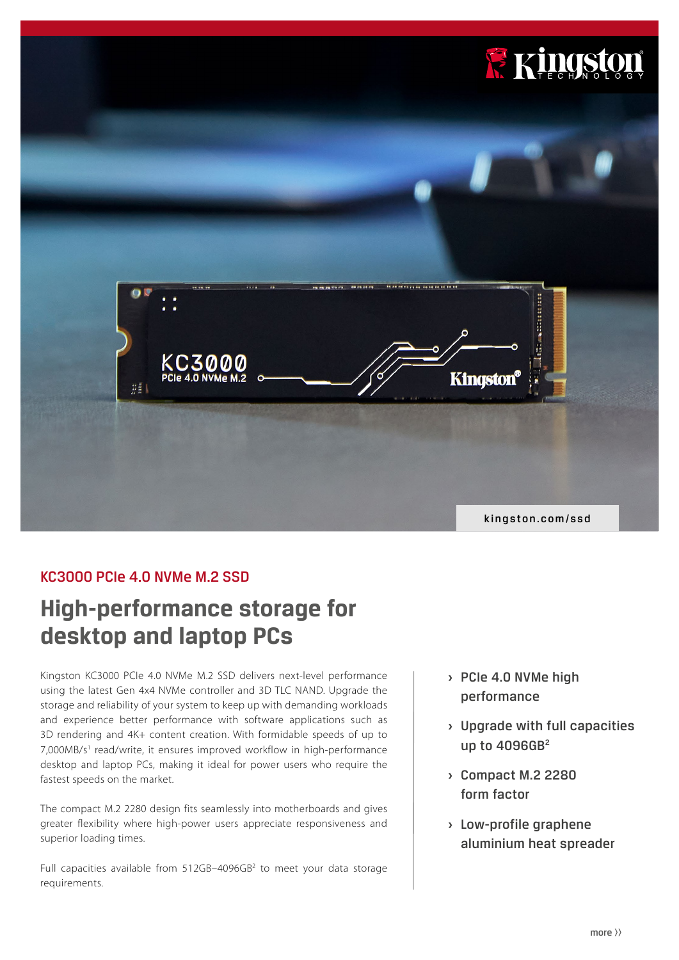

# KC3000 PCIe 4.0 NVMe M.2 SSD

# **High-performance storage for desktop and laptop PCs**

Kingston KC3000 PCIe 4.0 NVMe M.2 SSD delivers next-level performance using the latest Gen 4x4 NVMe controller and 3D TLC NAND. Upgrade the storage and reliability of your system to keep up with demanding workloads and experience better performance with software applications such as 3D rendering and 4K+ content creation. With formidable speeds of up to 7,000MB/s<sup>1</sup> read/write, it ensures improved workflow in high-performance desktop and laptop PCs, making it ideal for power users who require the fastest speeds on the market.

The compact M.2 2280 design fits seamlessly into motherboards and gives greater flexibility where high-power users appreciate responsiveness and superior loading times.

Full capacities available from  $512GB-4096GB<sup>2</sup>$  to meet your data storage requirements.

- **›** PCIe 4.0 NVMe high performance
- **›** Upgrade with full capacities up to 4096GB<sup>2</sup>
- **›** Compact M.2 2280 form factor
- **›** Low-profile graphene aluminium heat spreader